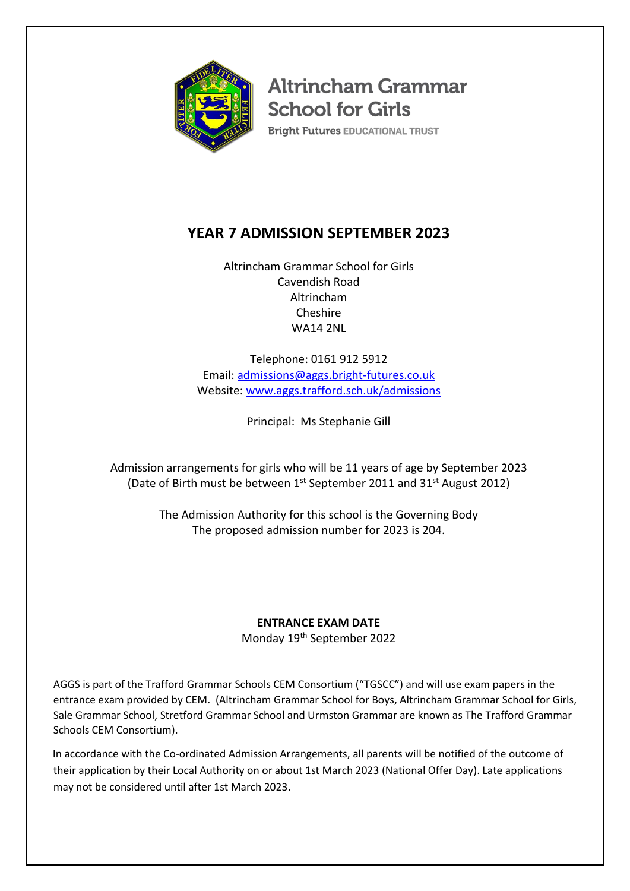

**Altrincham Grammar School for Girls** 

**Bright Futures EDUCATIONAL TRUST** 

# **YEAR 7 ADMISSION SEPTEMBER 2023**

Altrincham Grammar School for Girls Cavendish Road Altrincham Cheshire WA14 2NL

Telephone: 0161 912 5912 Email: [admissions@aggs.bright-futures.co.uk](mailto:admissions@aggs.bright-futures.co.uk) Website: [www.aggs.trafford.sch.uk/](http://www.aggs.trafford.sch.uk/)admissions

Principal: Ms Stephanie Gill

Admission arrangements for girls who will be 11 years of age by September 2023 (Date of Birth must be between 1<sup>st</sup> September 2011 and 31<sup>st</sup> August 2012)

> The Admission Authority for this school is the Governing Body The proposed admission number for 2023 is 204.

# **ENTRANCE EXAM DATE**

Monday 19<sup>th</sup> September 2022

AGGS is part of the Trafford Grammar Schools CEM Consortium ("TGSCC") and will use exam papers in the entrance exam provided by CEM. (Altrincham Grammar School for Boys, Altrincham Grammar School for Girls, Sale Grammar School, Stretford Grammar School and Urmston Grammar are known as The Trafford Grammar Schools CEM Consortium).

In accordance with the Co-ordinated Admission Arrangements, all parents will be notified of the outcome of their application by their Local Authority on or about 1st March 2023 (National Offer Day). Late applications may not be considered until after 1st March 2023.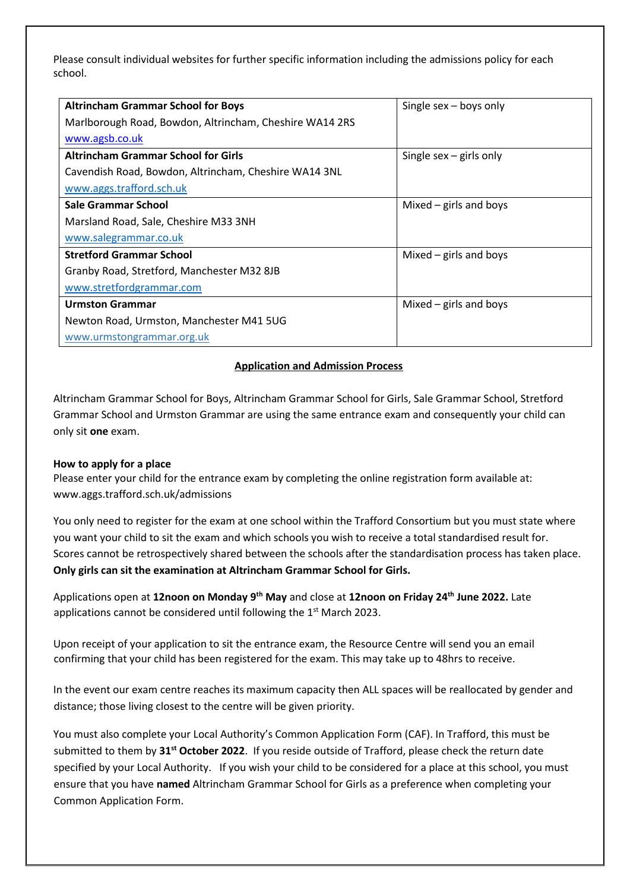Please consult individual websites for further specific information including the admissions policy for each school.

| <b>Altrincham Grammar School for Boys</b>               | Single $sex - boys$ only  |
|---------------------------------------------------------|---------------------------|
| Marlborough Road, Bowdon, Altrincham, Cheshire WA14 2RS |                           |
| www.agsb.co.uk                                          |                           |
| <b>Altrincham Grammar School for Girls</b>              | Single sex $-$ girls only |
| Cavendish Road, Bowdon, Altrincham, Cheshire WA14 3NL   |                           |
| www.aggs.trafford.sch.uk                                |                           |
| Sale Grammar School                                     | Mixed $-$ girls and boys  |
| Marsland Road, Sale, Cheshire M33 3NH                   |                           |
| www.salegrammar.co.uk                                   |                           |
| <b>Stretford Grammar School</b>                         | Mixed $-$ girls and boys  |
| Granby Road, Stretford, Manchester M32 8JB              |                           |
| www.stretfordgrammar.com                                |                           |
| <b>Urmston Grammar</b>                                  | Mixed $-$ girls and boys  |
| Newton Road, Urmston, Manchester M41 5UG                |                           |
| www.urmstongrammar.org.uk                               |                           |

### **Application and Admission Process**

Altrincham Grammar School for Boys, Altrincham Grammar School for Girls, Sale Grammar School, Stretford Grammar School and Urmston Grammar are using the same entrance exam and consequently your child can only sit **one** exam.

### **How to apply for a place**

Please enter your child for the entrance exam by completing the online registration form available at: www.aggs.trafford.sch.uk/admissions

You only need to register for the exam at one school within the Trafford Consortium but you must state where you want your child to sit the exam and which schools you wish to receive a total standardised result for. Scores cannot be retrospectively shared between the schools after the standardisation process has taken place. **Only girls can sit the examination at Altrincham Grammar School for Girls.**

Applications open at 12noon on Monday 9<sup>th</sup> May and close at 12noon on Friday 24<sup>th</sup> June 2022. Late applications cannot be considered until following the 1<sup>st</sup> March 2023.

Upon receipt of your application to sit the entrance exam, the Resource Centre will send you an email confirming that your child has been registered for the exam. This may take up to 48hrs to receive.

In the event our exam centre reaches its maximum capacity then ALL spaces will be reallocated by gender and distance; those living closest to the centre will be given priority.

You must also complete your Local Authority's Common Application Form (CAF). In Trafford, this must be submitted to them by **31st October 2022**. If you reside outside of Trafford, please check the return date specified by your Local Authority. If you wish your child to be considered for a place at this school, you must ensure that you have **named** Altrincham Grammar School for Girls as a preference when completing your Common Application Form.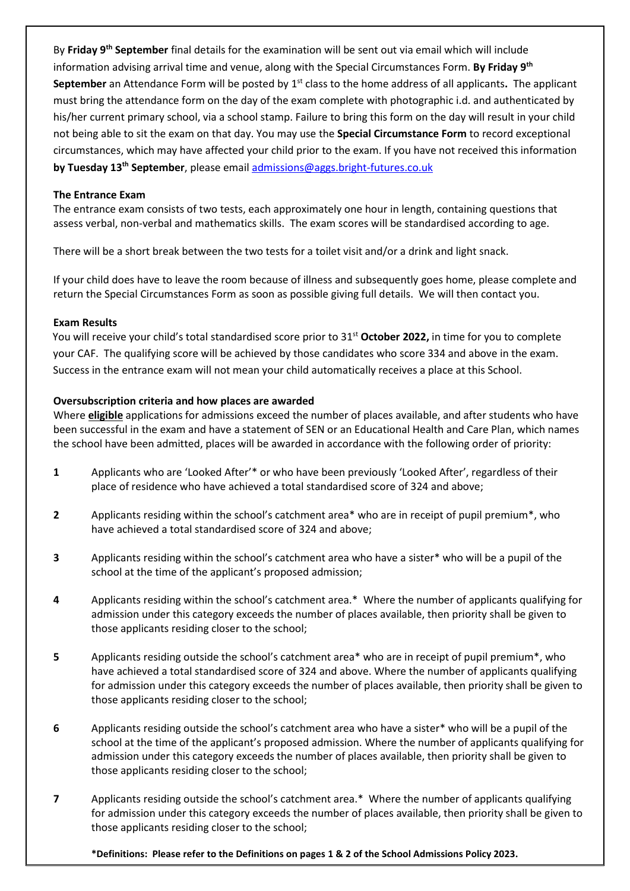By **Friday 9th September** final details for the examination will be sent out via email which will include information advising arrival time and venue, along with the Special Circumstances Form. **By Friday 9th September** an Attendance Form will be posted by 1st class to the home address of all applicants**.** The applicant must bring the attendance form on the day of the exam complete with photographic i.d. and authenticated by his/her current primary school, via a school stamp. Failure to bring this form on the day will result in your child not being able to sit the exam on that day. You may use the **Special Circumstance Form** to record exceptional circumstances, which may have affected your child prior to the exam. If you have not received this information **by Tuesday 13th September**, please email [admissions@aggs.bright-futures.co.uk](mailto:admissions@aggs.bright-futures.co.uk)

## **The Entrance Exam**

The entrance exam consists of two tests, each approximately one hour in length, containing questions that assess verbal, non-verbal and mathematics skills. The exam scores will be standardised according to age.

There will be a short break between the two tests for a toilet visit and/or a drink and light snack.

If your child does have to leave the room because of illness and subsequently goes home, please complete and return the Special Circumstances Form as soon as possible giving full details. We will then contact you.

### **Exam Results**

You will receive your child's total standardised score prior to 31st **October 2022,** in time for you to complete your CAF. The qualifying score will be achieved by those candidates who score 334 and above in the exam. Success in the entrance exam will not mean your child automatically receives a place at this School.

## **Oversubscription criteria and how places are awarded**

Where **eligible** applications for admissions exceed the number of places available, and after students who have been successful in the exam and have a statement of SEN or an Educational Health and Care Plan, which names the school have been admitted, places will be awarded in accordance with the following order of priority:

- **1** Applicants who are 'Looked After'\* or who have been previously 'Looked After', regardless of their place of residence who have achieved a total standardised score of 324 and above;
- **2** Applicants residing within the school's catchment area\* who are in receipt of pupil premium\*, who have achieved a total standardised score of 324 and above;
- **3** Applicants residing within the school's catchment area who have a sister\* who will be a pupil of the school at the time of the applicant's proposed admission;
- **4** Applicants residing within the school's catchment area.\* Where the number of applicants qualifying for admission under this category exceeds the number of places available, then priority shall be given to those applicants residing closer to the school;
- **5** Applicants residing outside the school's catchment area\* who are in receipt of pupil premium\*, who have achieved a total standardised score of 324 and above. Where the number of applicants qualifying for admission under this category exceeds the number of places available, then priority shall be given to those applicants residing closer to the school;
- **6** Applicants residing outside the school's catchment area who have a sister\* who will be a pupil of the school at the time of the applicant's proposed admission. Where the number of applicants qualifying for admission under this category exceeds the number of places available, then priority shall be given to those applicants residing closer to the school;
- **7** Applicants residing outside the school's catchment area.\* Where the number of applicants qualifying for admission under this category exceeds the number of places available, then priority shall be given to those applicants residing closer to the school;

**\*Definitions: Please refer to the Definitions on pages 1 & 2 of the School Admissions Policy 2023.**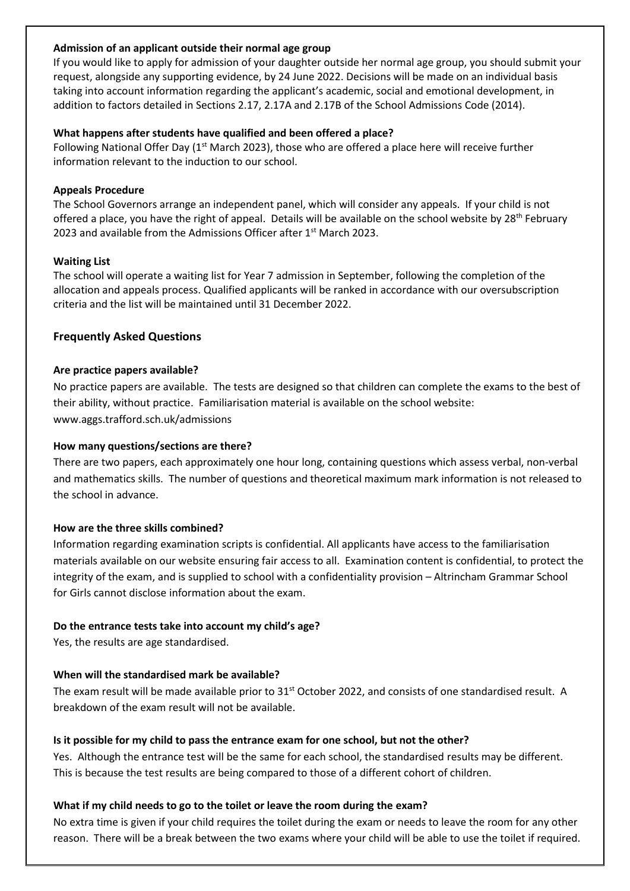## **Admission of an applicant outside their normal age group**

If you would like to apply for admission of your daughter outside her normal age group, you should submit your request, alongside any supporting evidence, by 24 June 2022. Decisions will be made on an individual basis taking into account information regarding the applicant's academic, social and emotional development, in addition to factors detailed in Sections 2.17, 2.17A and 2.17B of the School Admissions Code (2014).

## **What happens after students have qualified and been offered a place?**

Following National Offer Day ( $1<sup>st</sup>$  March 2023), those who are offered a place here will receive further information relevant to the induction to our school.

## **Appeals Procedure**

The School Governors arrange an independent panel, which will consider any appeals. If your child is not offered a place, you have the right of appeal. Details will be available on the school website by 28<sup>th</sup> February 2023 and available from the Admissions Officer after 1<sup>st</sup> March 2023.

## **Waiting List**

The school will operate a waiting list for Year 7 admission in September, following the completion of the allocation and appeals process. Qualified applicants will be ranked in accordance with our oversubscription criteria and the list will be maintained until 31 December 2022.

## **Frequently Asked Questions**

## **Are practice papers available?**

No practice papers are available. The tests are designed so that children can complete the exams to the best of their ability, without practice. Familiarisation material is available on the school website: www.aggs.trafford.sch.uk/admissions

## **How many questions/sections are there?**

There are two papers, each approximately one hour long, containing questions which assess verbal, non-verbal and mathematics skills. The number of questions and theoretical maximum mark information is not released to the school in advance.

## **How are the three skills combined?**

Information regarding examination scripts is confidential. All applicants have access to the familiarisation materials available on our website ensuring fair access to all. Examination content is confidential, to protect the integrity of the exam, and is supplied to school with a confidentiality provision – Altrincham Grammar School for Girls cannot disclose information about the exam.

## **Do the entrance tests take into account my child's age?**

Yes, the results are age standardised.

## **When will the standardised mark be available?**

The exam result will be made available prior to 31<sup>st</sup> October 2022, and consists of one standardised result. A breakdown of the exam result will not be available.

## **Is it possible for my child to pass the entrance exam for one school, but not the other?**

Yes. Although the entrance test will be the same for each school, the standardised results may be different. This is because the test results are being compared to those of a different cohort of children.

## **What if my child needs to go to the toilet or leave the room during the exam?**

No extra time is given if your child requires the toilet during the exam or needs to leave the room for any other reason. There will be a break between the two exams where your child will be able to use the toilet if required.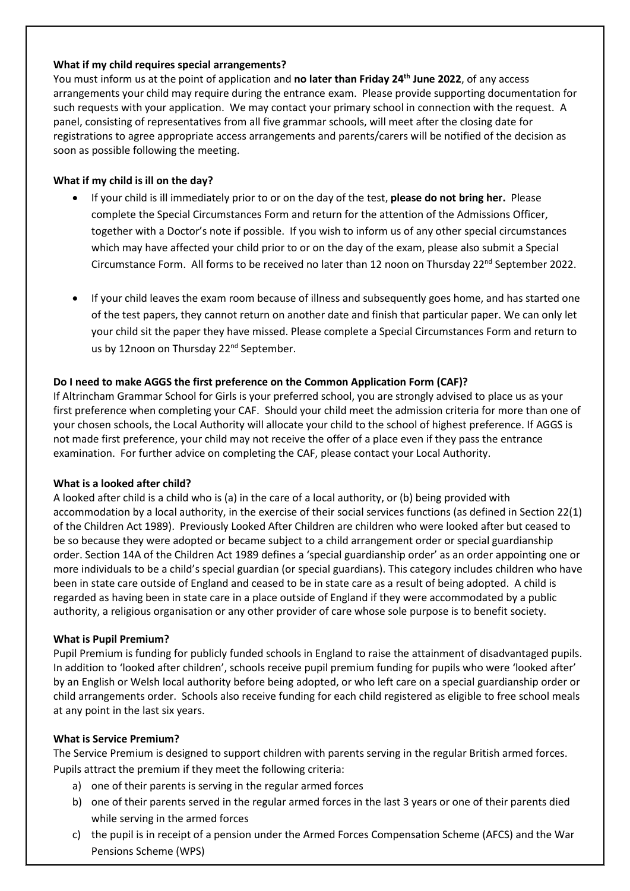## **What if my child requires special arrangements?**

You must inform us at the point of application and **no later than Friday 24 th June 2022**, of any access arrangements your child may require during the entrance exam. Please provide supporting documentation for such requests with your application. We may contact your primary school in connection with the request. A panel, consisting of representatives from all five grammar schools, will meet after the closing date for registrations to agree appropriate access arrangements and parents/carers will be notified of the decision as soon as possible following the meeting.

## **What if my child is ill on the day?**

- If your child is ill immediately prior to or on the day of the test, **please do not bring her.** Please complete the Special Circumstances Form and return for the attention of the Admissions Officer, together with a Doctor's note if possible. If you wish to inform us of any other special circumstances which may have affected your child prior to or on the day of the exam, please also submit a Special Circumstance Form. All forms to be received no later than 12 noon on Thursday  $22<sup>nd</sup>$  September 2022.
- If your child leaves the exam room because of illness and subsequently goes home, and has started one of the test papers, they cannot return on another date and finish that particular paper. We can only let your child sit the paper they have missed. Please complete a Special Circumstances Form and return to us by 12noon on Thursday 22<sup>nd</sup> September.

## **Do I need to make AGGS the first preference on the Common Application Form (CAF)?**

If Altrincham Grammar School for Girls is your preferred school, you are strongly advised to place us as your first preference when completing your CAF. Should your child meet the admission criteria for more than one of your chosen schools, the Local Authority will allocate your child to the school of highest preference. If AGGS is not made first preference, your child may not receive the offer of a place even if they pass the entrance examination. For further advice on completing the CAF, please contact your Local Authority.

### **What is a looked after child?**

A looked after child is a child who is (a) in the care of a local authority, or (b) being provided with accommodation by a local authority, in the exercise of their social services functions (as defined in Section 22(1) of the Children Act 1989). Previously Looked After Children are children who were looked after but ceased to be so because they were adopted or became subject to a child arrangement order or special guardianship order. Section 14A of the Children Act 1989 defines a 'special guardianship order' as an order appointing one or more individuals to be a child's special guardian (or special guardians). This category includes children who have been in state care outside of England and ceased to be in state care as a result of being adopted. A child is regarded as having been in state care in a place outside of England if they were accommodated by a public authority, a religious organisation or any other provider of care whose sole purpose is to benefit society.

### **What is Pupil Premium?**

Pupil Premium is funding for publicly funded schools in England to raise the attainment of disadvantaged pupils. In addition to 'looked after children', schools receive pupil premium funding for pupils who were 'looked after' by an English or Welsh local authority before being adopted, or who left care on a special guardianship order or child arrangements order. Schools also receive funding for each child registered as eligible to free school meals at any point in the last six years.

### **What is Service Premium?**

The Service Premium is designed to support children with parents serving in the regular British armed forces. Pupils attract the premium if they meet the following criteria:

- a) one of their parents is serving in the regular armed forces
- b) one of their parents served in the regular armed forces in the last 3 years or one of their parents died while serving in the armed forces
- c) the pupil is in receipt of a pension under the Armed Forces Compensation Scheme (AFCS) and the War Pensions Scheme (WPS)